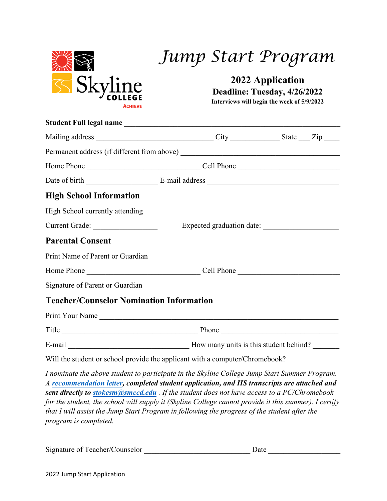

## *Jump Start Program*

**2022 Application** 

**Deadline: Tuesday, 4/26/2022**

**Interviews will begin the week of 5/9/2022**

|                                                 | Student Full legal name                                                                                                                                                                                                                                                                                                                                                                             |  |
|-------------------------------------------------|-----------------------------------------------------------------------------------------------------------------------------------------------------------------------------------------------------------------------------------------------------------------------------------------------------------------------------------------------------------------------------------------------------|--|
|                                                 |                                                                                                                                                                                                                                                                                                                                                                                                     |  |
|                                                 |                                                                                                                                                                                                                                                                                                                                                                                                     |  |
|                                                 |                                                                                                                                                                                                                                                                                                                                                                                                     |  |
|                                                 |                                                                                                                                                                                                                                                                                                                                                                                                     |  |
| <b>High School Information</b>                  |                                                                                                                                                                                                                                                                                                                                                                                                     |  |
|                                                 |                                                                                                                                                                                                                                                                                                                                                                                                     |  |
| Current Grade:                                  |                                                                                                                                                                                                                                                                                                                                                                                                     |  |
| <b>Parental Consent</b>                         |                                                                                                                                                                                                                                                                                                                                                                                                     |  |
|                                                 |                                                                                                                                                                                                                                                                                                                                                                                                     |  |
|                                                 |                                                                                                                                                                                                                                                                                                                                                                                                     |  |
|                                                 | Signature of Parent or Guardian New York Channels and School and School and School and School and School and School and School and School and School and School and School and School and School and School and School and Sch                                                                                                                                                                      |  |
| <b>Teacher/Counselor Nomination Information</b> |                                                                                                                                                                                                                                                                                                                                                                                                     |  |
|                                                 | Print Your Name                                                                                                                                                                                                                                                                                                                                                                                     |  |
|                                                 | Title Phone Phone Phone                                                                                                                                                                                                                                                                                                                                                                             |  |
|                                                 |                                                                                                                                                                                                                                                                                                                                                                                                     |  |
|                                                 | Will the student or school provide the applicant with a computer/Chromebook?                                                                                                                                                                                                                                                                                                                        |  |
|                                                 | I nominate the above student to participate in the Skyline College Jump Start Summer Program.<br>A recommendation letter, completed student application, and HS transcripts are attached and<br>sent directly to stokesm@smccd.edu. If the student does not have access to a PC/Chromebook<br>for the student, the school will supply it (Skyline College cannot provide it this summer). I certify |  |

*that I will assist the Jump Start Program in following the progress of the student after the program is completed.*

| Signature of Teacher/Counselor | Date |
|--------------------------------|------|
|                                |      |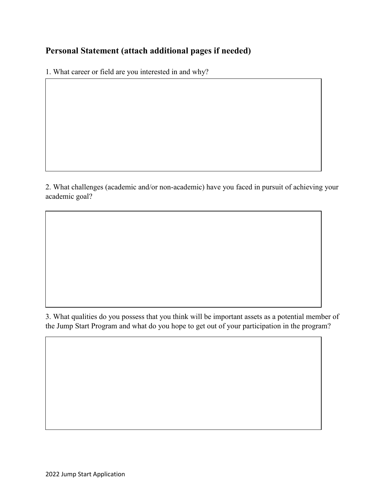## **Personal Statement (attach additional pages if needed)**

1. What career or field are you interested in and why?

2. What challenges (academic and/or non-academic) have you faced in pursuit of achieving your academic goal?

3. What qualities do you possess that you think will be important assets as a potential member of the Jump Start Program and what do you hope to get out of your participation in the program?